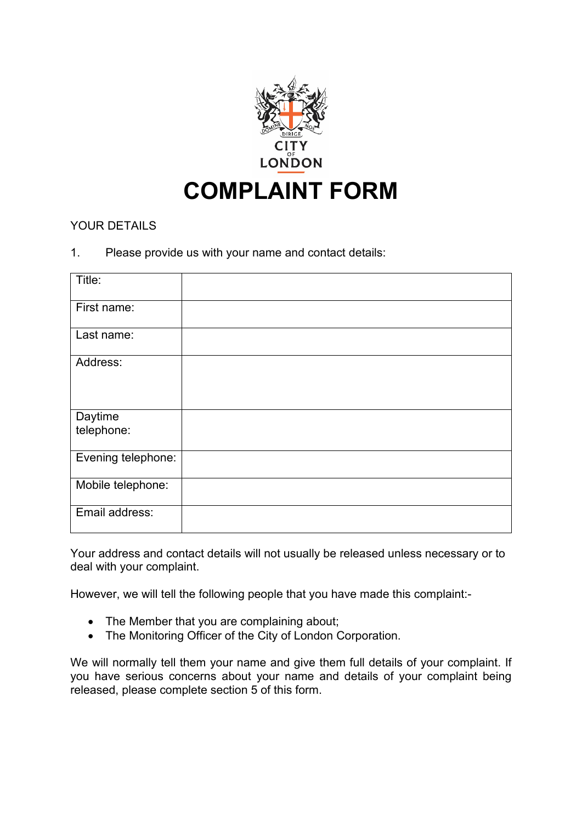

# YOUR DETAILS

### 1. Please provide us with your name and contact details:

| Title:                |  |
|-----------------------|--|
| First name:           |  |
| Last name:            |  |
| Address:              |  |
| Daytime<br>telephone: |  |
| Evening telephone:    |  |
| Mobile telephone:     |  |
| Email address:        |  |

Your address and contact details will not usually be released unless necessary or to deal with your complaint.

However, we will tell the following people that you have made this complaint:-

- The Member that you are complaining about;
- The Monitoring Officer of the City of London Corporation.

We will normally tell them your name and give them full details of your complaint. If you have serious concerns about your name and details of your complaint being released, please complete section 5 of this form.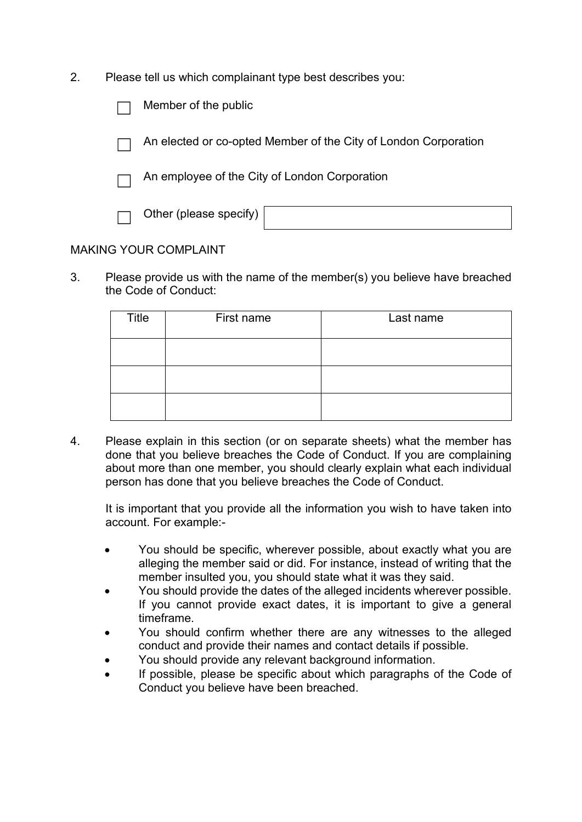2. Please tell us which complainant type best describes you:

| Member of the public                                            |
|-----------------------------------------------------------------|
| An elected or co-opted Member of the City of London Corporation |
| An employee of the City of London Corporation                   |
| Other (please specify)                                          |
|                                                                 |

## MAKING YOUR COMPLAINT

3. Please provide us with the name of the member(s) you believe have breached the Code of Conduct:

| Title | First name | Last name |
|-------|------------|-----------|
|       |            |           |
|       |            |           |
|       |            |           |

4. Please explain in this section (or on separate sheets) what the member has done that you believe breaches the Code of Conduct. If you are complaining about more than one member, you should clearly explain what each individual person has done that you believe breaches the Code of Conduct.

It is important that you provide all the information you wish to have taken into account. For example:-

- You should be specific, wherever possible, about exactly what you are alleging the member said or did. For instance, instead of writing that the member insulted you, you should state what it was they said.
- You should provide the dates of the alleged incidents wherever possible. If you cannot provide exact dates, it is important to give a general timeframe.
- You should confirm whether there are any witnesses to the alleged conduct and provide their names and contact details if possible.
- You should provide any relevant background information.
- If possible, please be specific about which paragraphs of the Code of Conduct you believe have been breached.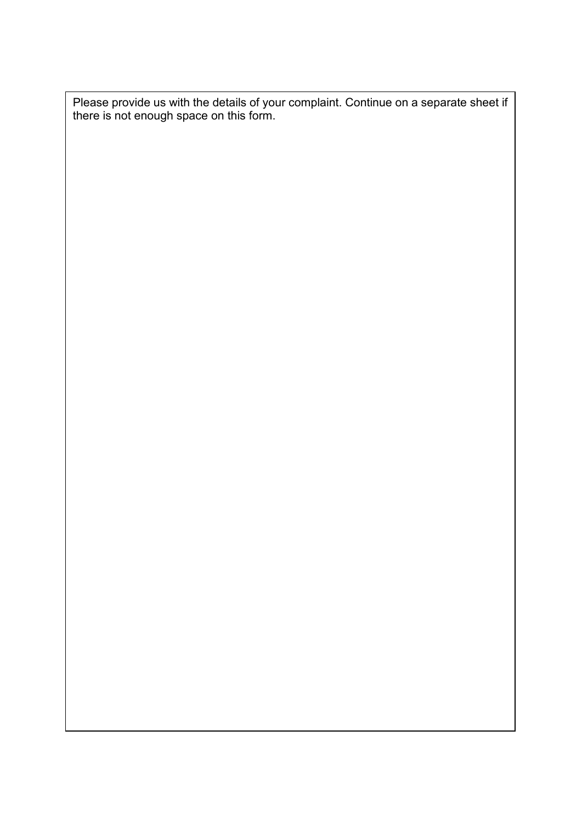Please provide us with the details of your complaint. Continue on a separate sheet if there is not enough space on this form.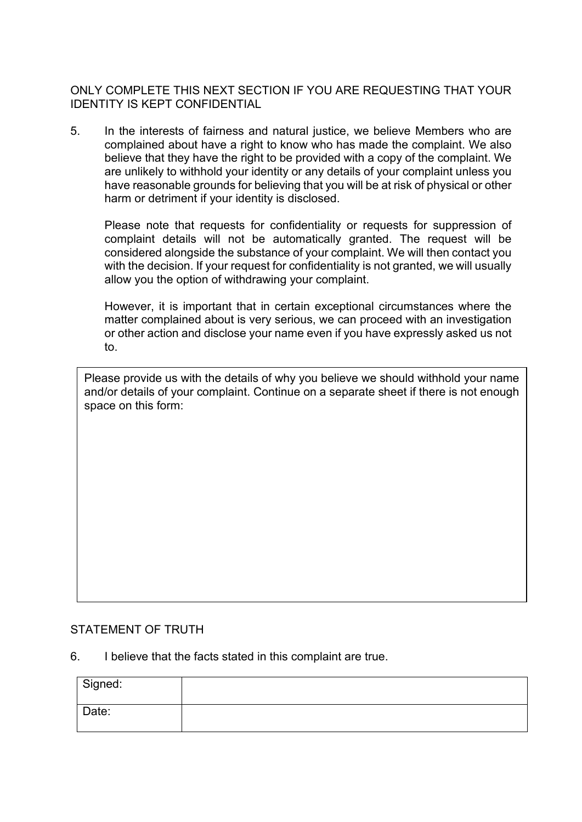ONLY COMPLETE THIS NEXT SECTION IF YOU ARE REQUESTING THAT YOUR IDENTITY IS KEPT CONFIDENTIAL

5. In the interests of fairness and natural justice, we believe Members who are complained about have a right to know who has made the complaint. We also believe that they have the right to be provided with a copy of the complaint. We are unlikely to withhold your identity or any details of your complaint unless you have reasonable grounds for believing that you will be at risk of physical or other harm or detriment if your identity is disclosed.

Please note that requests for confidentiality or requests for suppression of complaint details will not be automatically granted. The request will be considered alongside the substance of your complaint. We will then contact you with the decision. If your request for confidentiality is not granted, we will usually allow you the option of withdrawing your complaint.

However, it is important that in certain exceptional circumstances where the matter complained about is very serious, we can proceed with an investigation or other action and disclose your name even if you have expressly asked us not to.

Please provide us with the details of why you believe we should withhold your name and/or details of your complaint. Continue on a separate sheet if there is not enough space on this form:

### STATEMENT OF TRUTH

6. I believe that the facts stated in this complaint are true.

| Signed: |  |
|---------|--|
| Date:   |  |